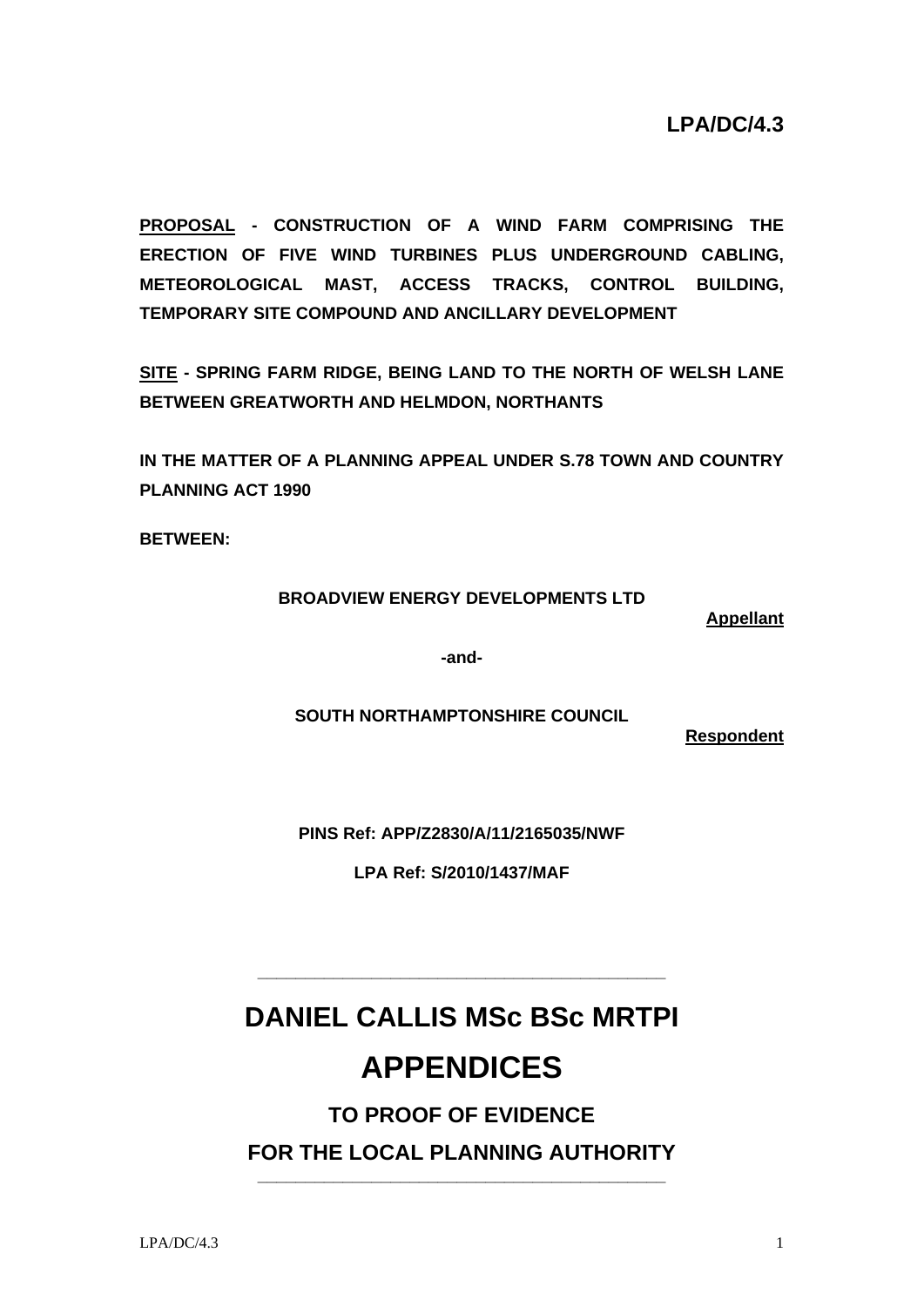**PROPOSAL - CONSTRUCTION OF A WIND FARM COMPRISING THE ERECTION OF FIVE WIND TURBINES PLUS UNDERGROUND CABLING, METEOROLOGICAL MAST, ACCESS TRACKS, CONTROL BUILDING, TEMPORARY SITE COMPOUND AND ANCILLARY DEVELOPMENT** 

**SITE - SPRING FARM RIDGE, BEING LAND TO THE NORTH OF WELSH LANE BETWEEN GREATWORTH AND HELMDON, NORTHANTS** 

**IN THE MATTER OF A PLANNING APPEAL UNDER S.78 TOWN AND COUNTRY PLANNING ACT 1990** 

**BETWEEN:** 

#### **BROADVIEW ENERGY DEVELOPMENTS LTD**

**Appellant**

**-and-**

**SOUTH NORTHAMPTONSHIRE COUNCIL** 

**Respondent**

**PINS Ref: APP/Z2830/A/11/2165035/NWF** 

**LPA Ref: S/2010/1437/MAF**

# **DANIEL CALLIS MSc BSc MRTPI**

**\_\_\_\_\_\_\_\_\_\_\_\_\_\_\_\_\_\_\_\_\_\_\_\_\_\_\_\_\_\_\_\_\_\_\_\_\_\_\_\_\_\_\_** 

## **APPENDICES**

#### **TO PROOF OF EVIDENCE FOR THE LOCAL PLANNING AUTHORITY \_\_\_\_\_\_\_\_\_\_\_\_\_\_\_\_\_\_\_\_\_\_\_\_\_\_\_\_\_\_\_\_\_\_\_\_\_\_\_\_\_\_\_**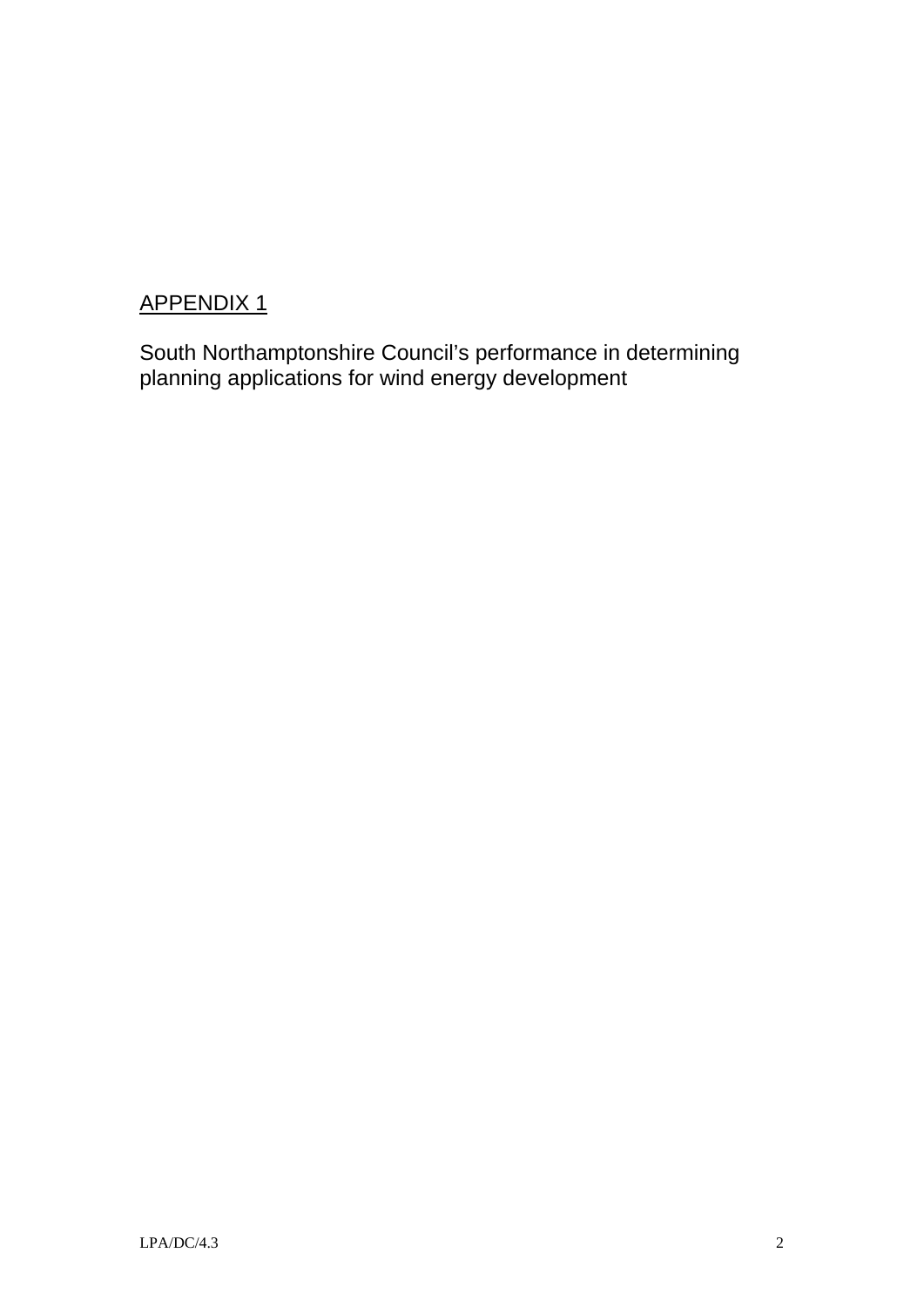South Northamptonshire Council's performance in determining planning applications for wind energy development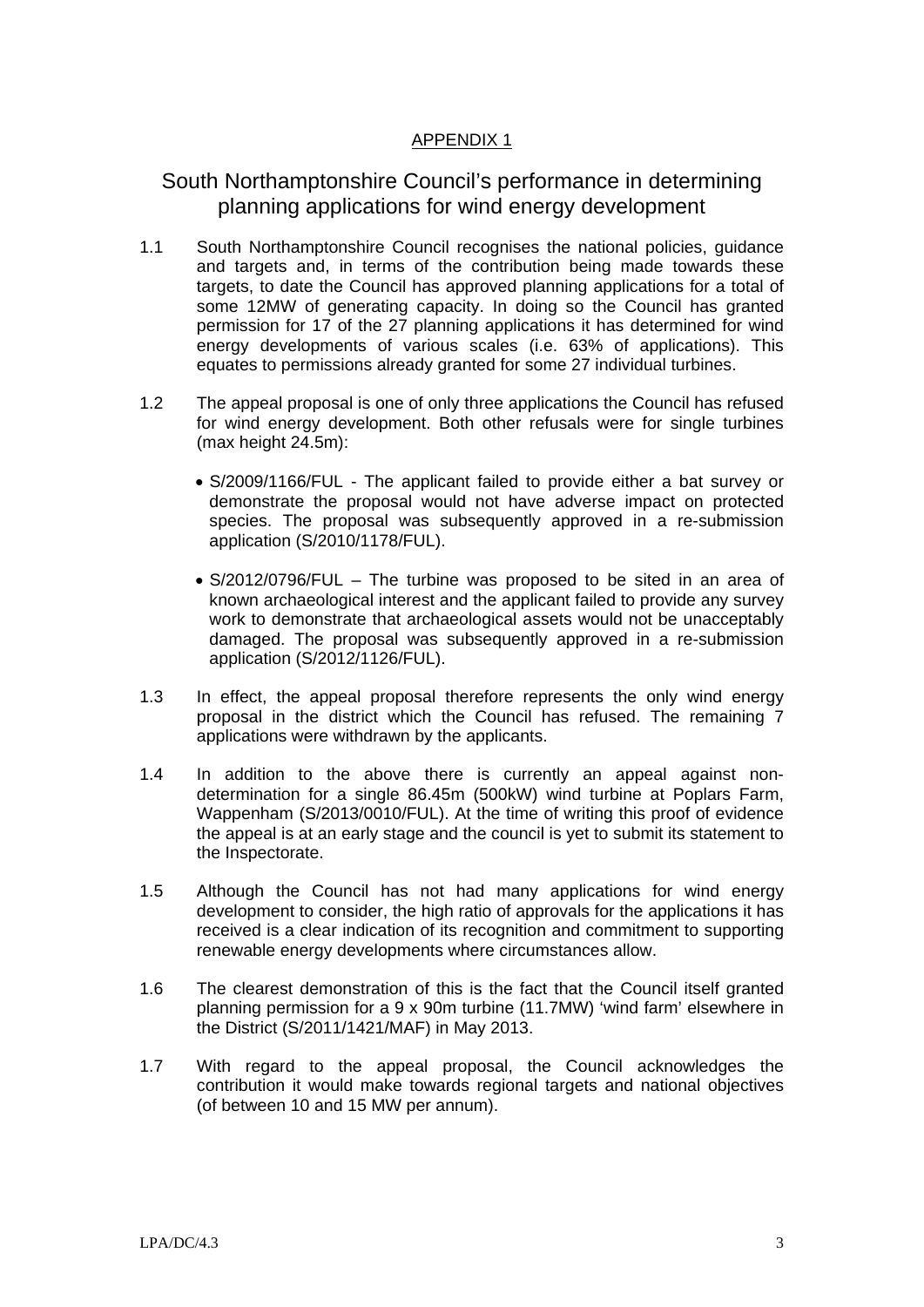#### South Northamptonshire Council's performance in determining planning applications for wind energy development

- 1.1 South Northamptonshire Council recognises the national policies, guidance and targets and, in terms of the contribution being made towards these targets, to date the Council has approved planning applications for a total of some 12MW of generating capacity. In doing so the Council has granted permission for 17 of the 27 planning applications it has determined for wind energy developments of various scales (i.e. 63% of applications). This equates to permissions already granted for some 27 individual turbines.
- 1.2 The appeal proposal is one of only three applications the Council has refused for wind energy development. Both other refusals were for single turbines (max height 24.5m):
	- S/2009/1166/FUL The applicant failed to provide either a bat survey or demonstrate the proposal would not have adverse impact on protected species. The proposal was subsequently approved in a re-submission application (S/2010/1178/FUL).
	- S/2012/0796/FUL The turbine was proposed to be sited in an area of known archaeological interest and the applicant failed to provide any survey work to demonstrate that archaeological assets would not be unacceptably damaged. The proposal was subsequently approved in a re-submission application (S/2012/1126/FUL).
- 1.3 In effect, the appeal proposal therefore represents the only wind energy proposal in the district which the Council has refused. The remaining 7 applications were withdrawn by the applicants.
- 1.4 In addition to the above there is currently an appeal against nondetermination for a single 86.45m (500kW) wind turbine at Poplars Farm, Wappenham (S/2013/0010/FUL). At the time of writing this proof of evidence the appeal is at an early stage and the council is yet to submit its statement to the Inspectorate.
- 1.5 Although the Council has not had many applications for wind energy development to consider, the high ratio of approvals for the applications it has received is a clear indication of its recognition and commitment to supporting renewable energy developments where circumstances allow.
- 1.6 The clearest demonstration of this is the fact that the Council itself granted planning permission for a 9 x 90m turbine (11.7MW) 'wind farm' elsewhere in the District (S/2011/1421/MAF) in May 2013.
- 1.7 With regard to the appeal proposal, the Council acknowledges the contribution it would make towards regional targets and national objectives (of between 10 and 15 MW per annum).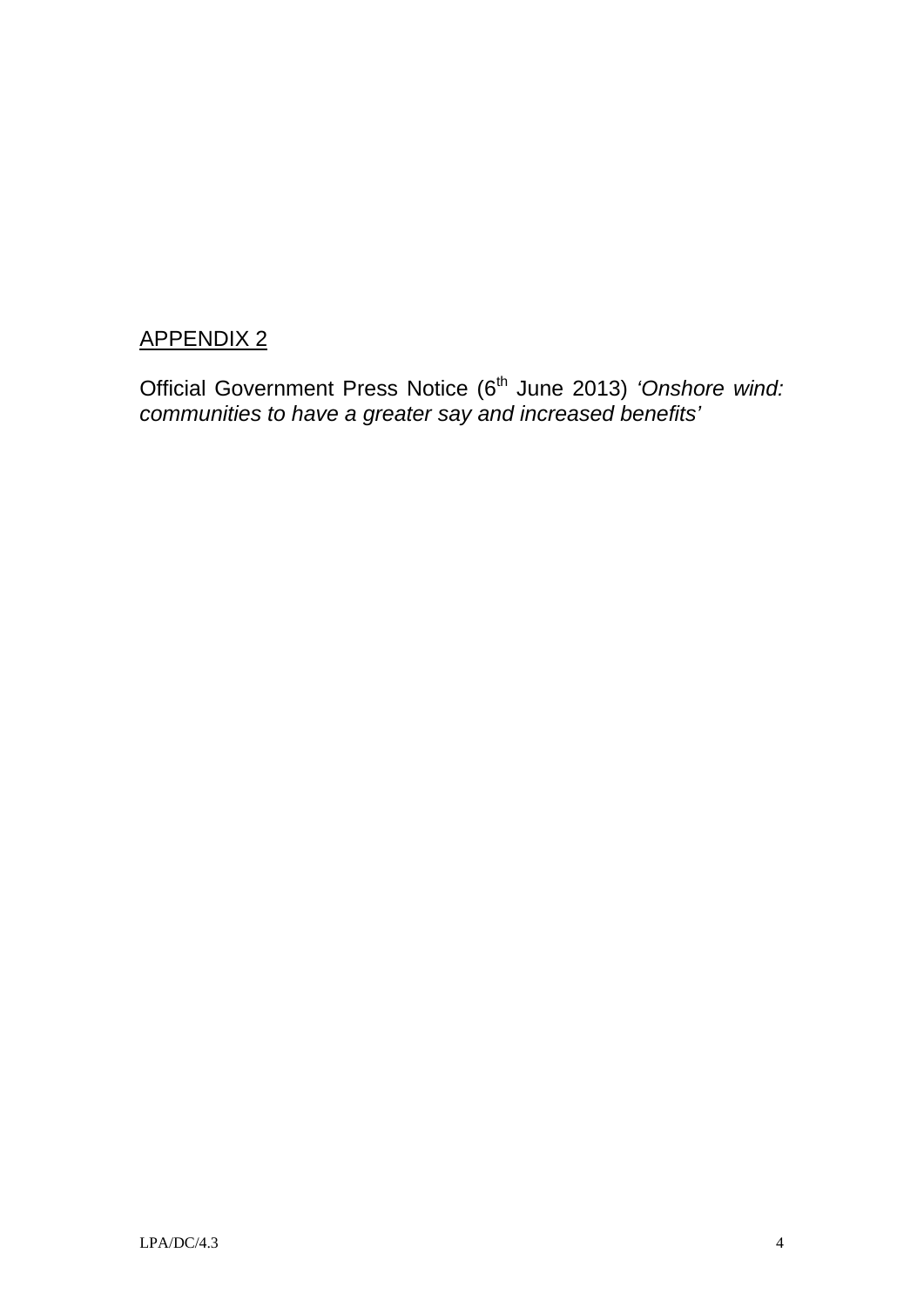Official Government Press Notice (6<sup>th</sup> June 2013) 'Onshore wind: *communities to have a greater say and increased benefits'*